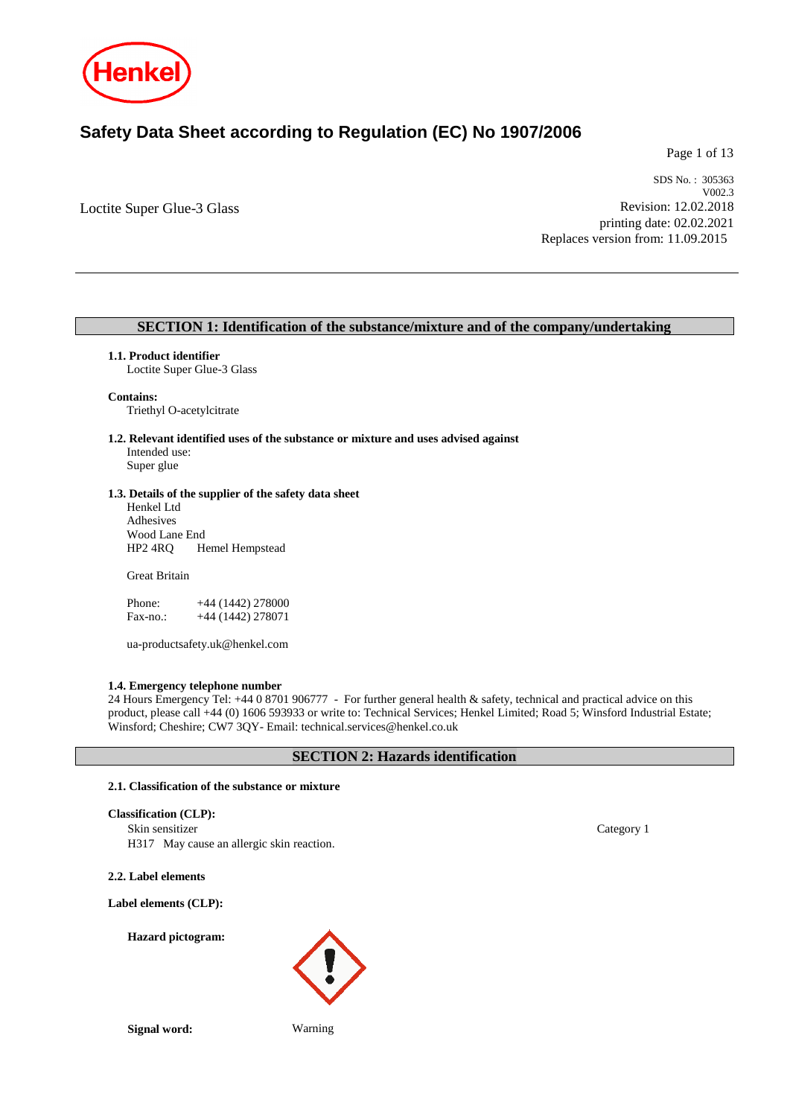

# **Safety Data Sheet according to Regulation (EC) No 1907/2006**

Page 1 of 13

Loctite Super Glue-3 Glass

SDS No. : 305363 V002.3 Revision: 12.02.2018 printing date: 02.02.2021 Replaces version from: 11.09.2015

## **SECTION 1: Identification of the substance/mixture and of the company/undertaking**

### **1.1. Product identifier**

Loctite Super Glue-3 Glass

### **Contains:**

Triethyl O-acetylcitrate

**1.2. Relevant identified uses of the substance or mixture and uses advised against** Intended use:

Super glue

### **1.3. Details of the supplier of the safety data sheet**

Henkel Ltd Adhesives Wood Lane End<br>HP2 4RO He Hemel Hempstead

Great Britain

| Phone:   | $+44(1442)278000$ |
|----------|-------------------|
| Fax-no.: | $+44(1442)278071$ |

ua-productsafety.uk@henkel.com

### **1.4. Emergency telephone number**

24 Hours Emergency Tel: +44 0 8701 906777 - For further general health & safety, technical and practical advice on this product, please call +44 (0) 1606 593933 or write to: Technical Services; Henkel Limited; Road 5; Winsford Industrial Estate; Winsford; Cheshire; CW7 3QY- Email: technical.services@henkel.co.uk

## **SECTION 2: Hazards identification**

### **2.1. Classification of the substance or mixture**

## **Classification (CLP):**

Skin sensitizer Category 1

H317 May cause an allergic skin reaction.

**2.2. Label elements**

**Label elements (CLP):**

**Hazard pictogram:**

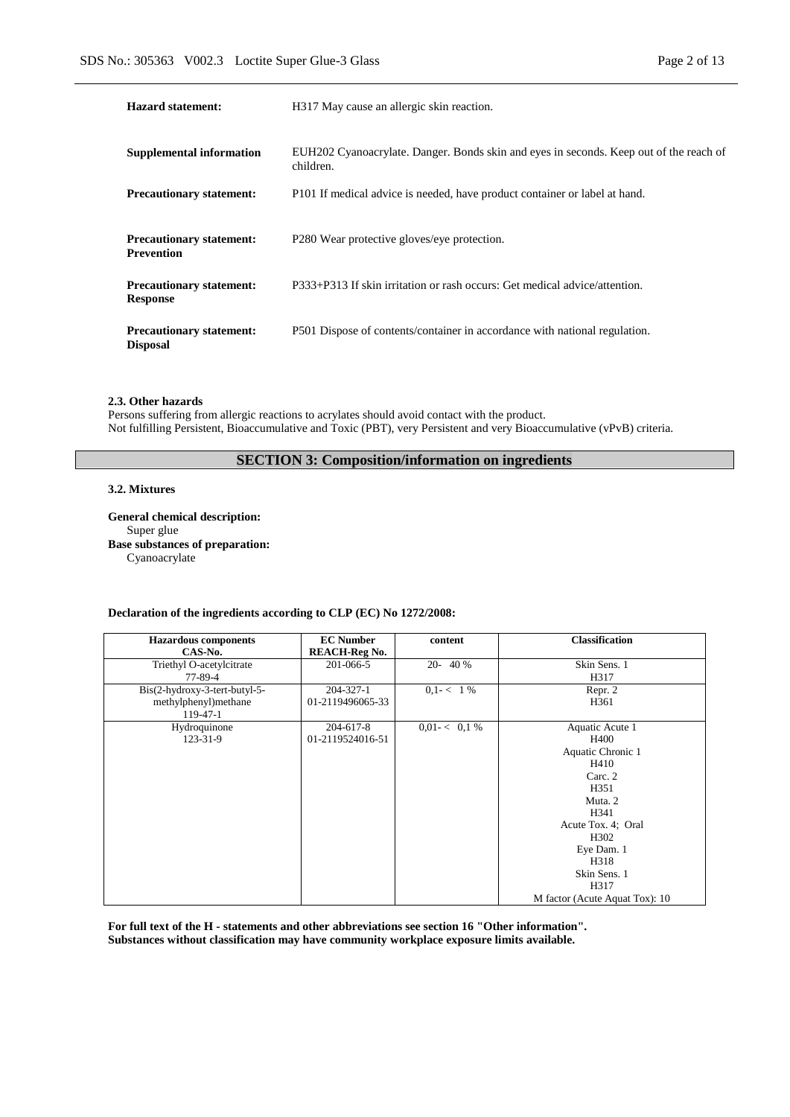| Page 2 of 13 |  |  |
|--------------|--|--|
|              |  |  |

| Hazard statement:                                    | H317 May cause an allergic skin reaction.                                                           |
|------------------------------------------------------|-----------------------------------------------------------------------------------------------------|
| <b>Supplemental information</b>                      | EUH202 Cyanoacrylate. Danger. Bonds skin and eyes in seconds. Keep out of the reach of<br>children. |
| <b>Precautionary statement:</b>                      | P101 If medical advice is needed, have product container or label at hand.                          |
| <b>Precautionary statement:</b><br><b>Prevention</b> | P280 Wear protective gloves/eye protection.                                                         |
| <b>Precautionary statement:</b><br><b>Response</b>   | P333+P313 If skin irritation or rash occurs: Get medical advice/attention.                          |
| <b>Precautionary statement:</b><br><b>Disposal</b>   | P501 Dispose of contents/container in accordance with national regulation.                          |

### **2.3. Other hazards**

Persons suffering from allergic reactions to acrylates should avoid contact with the product. Not fulfilling Persistent, Bioaccumulative and Toxic (PBT), very Persistent and very Bioaccumulative (vPvB) criteria.

## **SECTION 3: Composition/information on ingredients**

## **3.2. Mixtures**

**General chemical description:** Super glue **Base substances of preparation:** Cyanoacrylate

## **Declaration of the ingredients according to CLP (EC) No 1272/2008:**

| <b>Hazardous</b> components<br>CAS-No.                             | <b>EC Number</b><br><b>REACH-Reg No.</b> | content        | <b>Classification</b>                                                                                                                                                                                                 |
|--------------------------------------------------------------------|------------------------------------------|----------------|-----------------------------------------------------------------------------------------------------------------------------------------------------------------------------------------------------------------------|
| Triethyl O-acetylcitrate<br>77-89-4                                | 201-066-5                                | 20-40%         | Skin Sens. 1<br>H317                                                                                                                                                                                                  |
| Bis(2-hydroxy-3-tert-butyl-5-<br>methylphenyl) methane<br>119-47-1 | $204 - 327 - 1$<br>01-2119496065-33      | $0,1 - 1\%$    | Repr. 2<br>H <sub>361</sub>                                                                                                                                                                                           |
| Hydroquinone<br>123-31-9                                           | 204-617-8<br>01-2119524016-51            | $0.01 < 0.1\%$ | Aquatic Acute 1<br>H400<br>Aquatic Chronic 1<br>H410<br>Carc. 2<br>H351<br>Muta. 2<br>H341<br>Acute Tox. 4; Oral<br>H <sub>3</sub> 02<br>Eye Dam. 1<br>H318<br>Skin Sens. 1<br>H317<br>M factor (Acute Aquat Tox): 10 |

**For full text of the H - statements and other abbreviations see section 16 "Other information". Substances without classification may have community workplace exposure limits available.**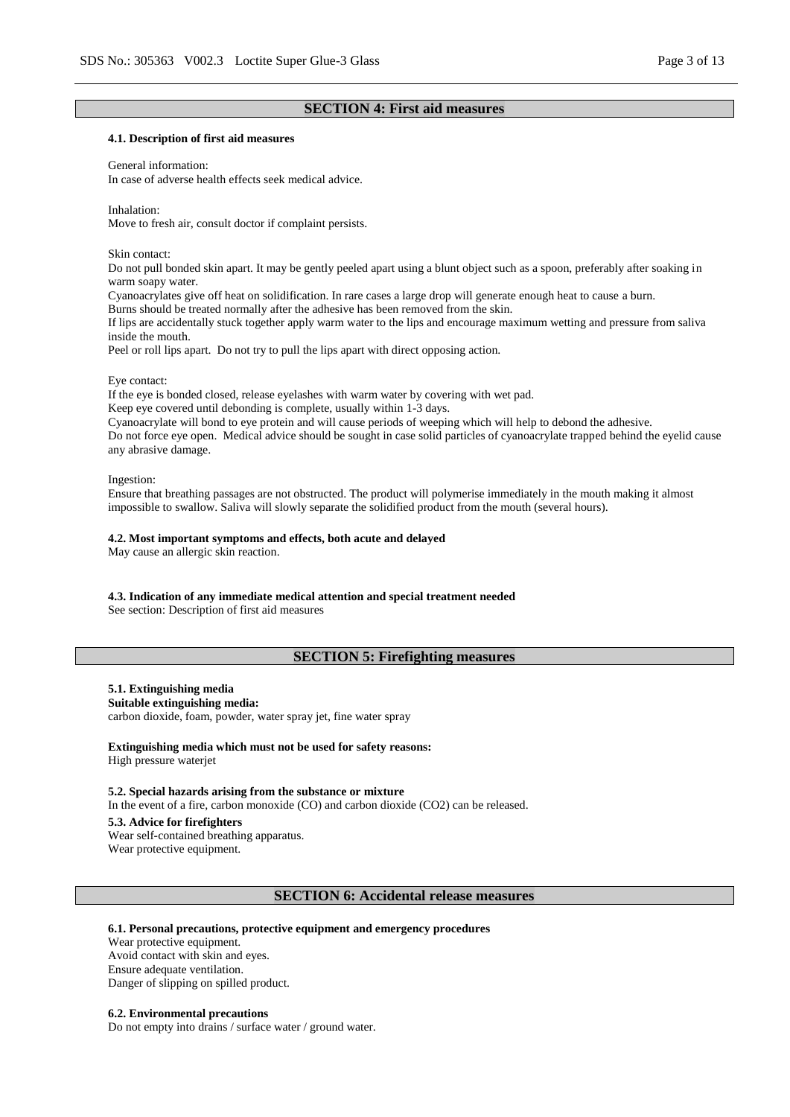## **SECTION 4: First aid measures**

### **4.1. Description of first aid measures**

#### General information:

In case of adverse health effects seek medical advice.

Inhalation:

Move to fresh air, consult doctor if complaint persists.

Skin contact:

Do not pull bonded skin apart. It may be gently peeled apart using a blunt object such as a spoon, preferably after soaking in warm soapy water.

Cyanoacrylates give off heat on solidification. In rare cases a large drop will generate enough heat to cause a burn.

Burns should be treated normally after the adhesive has been removed from the skin.

If lips are accidentally stuck together apply warm water to the lips and encourage maximum wetting and pressure from saliva inside the mouth.

Peel or roll lips apart. Do not try to pull the lips apart with direct opposing action.

#### Eye contact:

If the eye is bonded closed, release eyelashes with warm water by covering with wet pad.

Keep eye covered until debonding is complete, usually within 1-3 days.

Cyanoacrylate will bond to eye protein and will cause periods of weeping which will help to debond the adhesive. Do not force eye open. Medical advice should be sought in case solid particles of cyanoacrylate trapped behind the eyelid cause any abrasive damage.

Ingestion:

Ensure that breathing passages are not obstructed. The product will polymerise immediately in the mouth making it almost impossible to swallow. Saliva will slowly separate the solidified product from the mouth (several hours).

#### **4.2. Most important symptoms and effects, both acute and delayed**

May cause an allergic skin reaction.

### **4.3. Indication of any immediate medical attention and special treatment needed**

See section: Description of first aid measures

## **SECTION 5: Firefighting measures**

## **5.1. Extinguishing media**

**Suitable extinguishing media:**

carbon dioxide, foam, powder, water spray jet, fine water spray

## **Extinguishing media which must not be used for safety reasons:**

High pressure waterjet

### **5.2. Special hazards arising from the substance or mixture**

In the event of a fire, carbon monoxide (CO) and carbon dioxide (CO2) can be released.

#### **5.3. Advice for firefighters**

Wear self-contained breathing apparatus. Wear protective equipment.

## **SECTION 6: Accidental release measures**

### **6.1. Personal precautions, protective equipment and emergency procedures**

Wear protective equipment. Avoid contact with skin and eyes. Ensure adequate ventilation. Danger of slipping on spilled product.

### **6.2. Environmental precautions**

Do not empty into drains / surface water / ground water.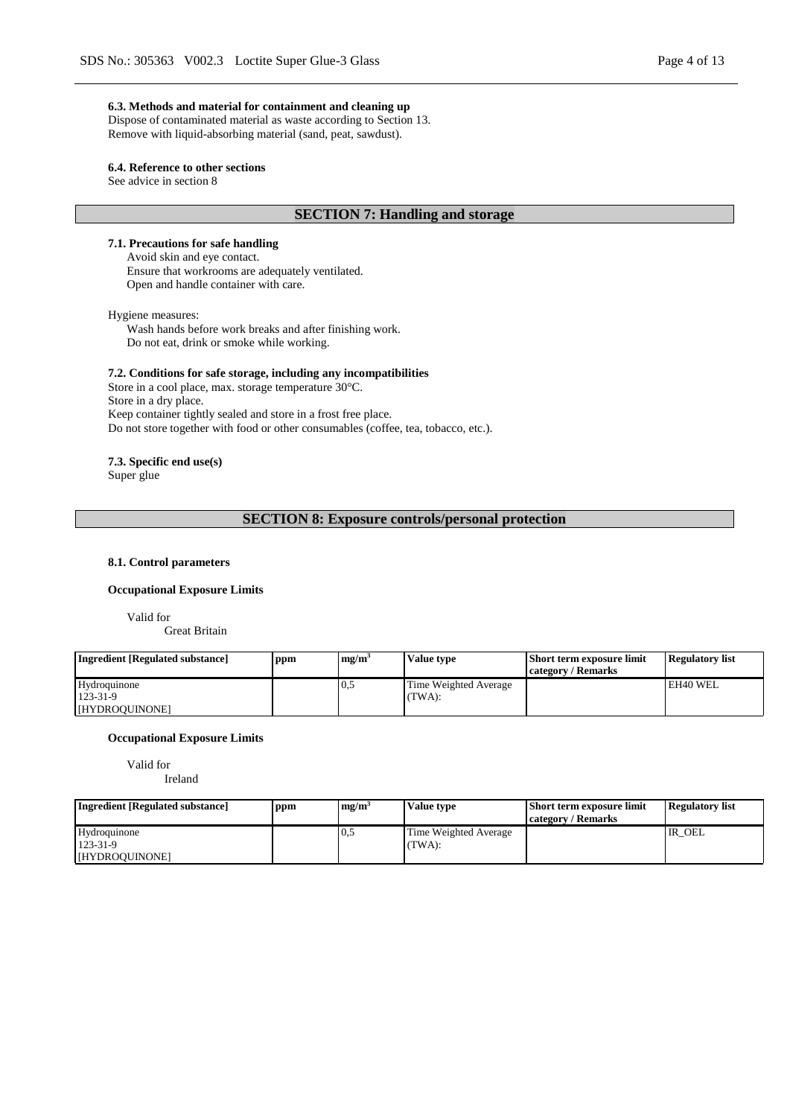### **6.3. Methods and material for containment and cleaning up**

Dispose of contaminated material as waste according to Section 13. Remove with liquid-absorbing material (sand, peat, sawdust).

### **6.4. Reference to other sections**

See advice in section 8

## **SECTION 7: Handling and storage**

## **7.1. Precautions for safe handling**

Avoid skin and eye contact. Ensure that workrooms are adequately ventilated. Open and handle container with care.

#### Hygiene measures:

Wash hands before work breaks and after finishing work. Do not eat, drink or smoke while working.

### **7.2. Conditions for safe storage, including any incompatibilities**

Store in a cool place, max. storage temperature 30°C. Store in a dry place. Keep container tightly sealed and store in a frost free place. Do not store together with food or other consumables (coffee, tea, tobacco, etc.).

# **7.3. Specific end use(s)**

Super glue

## **SECTION 8: Exposure controls/personal protection**

### **8.1. Control parameters**

## **Occupational Exposure Limits**

Valid for

Great Britain

| <b>Ingredient [Regulated substance]</b>          | ppm | me/m <sup>3</sup> | Value type                      | <b>Short term exposure limit</b><br>category / Remarks | <b>Regulatory list</b> |
|--------------------------------------------------|-----|-------------------|---------------------------------|--------------------------------------------------------|------------------------|
| Hydroquinone<br>$123 - 31 - 9$<br>[HYDROQUINONE] |     | 0.5               | Time Weighted Average<br>(TWA): |                                                        | EH40 WEL               |

### **Occupational Exposure Limits**

Valid for

Ireland

| <b>Ingredient</b> [Regulated substance] | ppm | mg/m <sup>3</sup> | Value type            | <b>Short term exposure limit</b> | <b>Regulatory list</b> |
|-----------------------------------------|-----|-------------------|-----------------------|----------------------------------|------------------------|
|                                         |     |                   |                       | / Remarks<br>category/           |                        |
| Hydroquinone                            |     | 0.5               | Time Weighted Average |                                  | IR OEL                 |
| 123-31-9                                |     |                   | TWA:                  |                                  |                        |
| [HYDROQUINONE]                          |     |                   |                       |                                  |                        |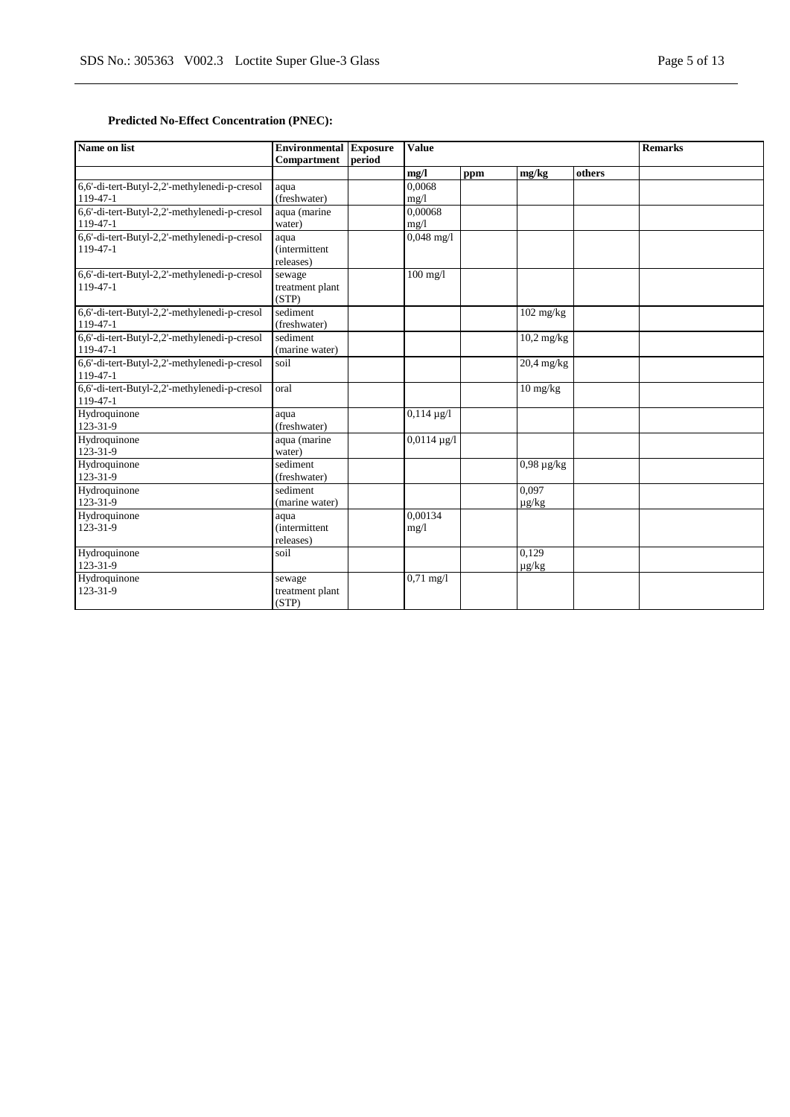## **Predicted No-Effect Concentration (PNEC):**

| Name on list                                                   | <b>Environmental Exposure</b><br><b>Compartment</b> | period | <b>Value</b>         |     |                                | <b>Remarks</b> |  |
|----------------------------------------------------------------|-----------------------------------------------------|--------|----------------------|-----|--------------------------------|----------------|--|
|                                                                |                                                     |        | mg/l                 | ppm | mg/kg                          | others         |  |
| 6,6'-di-tert-Butyl-2,2'-methylenedi-p-cresol<br>$119-47-1$     | aqua<br>(freshwater)                                |        | 0.0068<br>mg/1       |     |                                |                |  |
| 6,6'-di-tert-Butyl-2,2'-methylenedi-p-cresol<br>119-47-1       | aqua (marine<br>water)                              |        | 0.00068<br>mg/1      |     |                                |                |  |
| 6,6'-di-tert-Butyl-2,2'-methylenedi-p-cresol<br>119-47-1       | aqua<br><i>(intermittent)</i><br>releases)          |        | $0,048 \text{ mg}/1$ |     |                                |                |  |
| 6,6'-di-tert-Butyl-2,2'-methylenedi-p-cresol<br>$119-47-1$     | sewage<br>treatment plant<br>(STP)                  |        | $100$ mg/l           |     |                                |                |  |
| 6,6'-di-tert-Butyl-2,2'-methylenedi-p-cresol<br>$119 - 47 - 1$ | sediment<br>(freshwater)                            |        |                      |     | $\frac{102 \text{ mg/kg}}{10}$ |                |  |
| 6,6'-di-tert-Butyl-2,2'-methylenedi-p-cresol<br>$119-47-1$     | sediment<br>(marine water)                          |        |                      |     | $10,2 \text{ mg/kg}$           |                |  |
| 6,6'-di-tert-Butyl-2,2'-methylenedi-p-cresol<br>$119-47-1$     | soil                                                |        |                      |     | $20,4$ mg/kg                   |                |  |
| 6,6'-di-tert-Butyl-2,2'-methylenedi-p-cresol<br>119-47-1       | oral                                                |        |                      |     | 10 mg/kg                       |                |  |
| Hydroquinone<br>123-31-9                                       | aqua<br>(freshwater)                                |        | $0,114 \mu g/l$      |     |                                |                |  |
| Hydroquinone<br>123-31-9                                       | aqua (marine<br>water)                              |        | $0,0114 \mu g/l$     |     |                                |                |  |
| Hydroquinone<br>123-31-9                                       | sediment<br>(freshwater)                            |        |                      |     | $0,98 \mu g/kg$                |                |  |
| Hydroquinone<br>123-31-9                                       | sediment<br>(marine water)                          |        |                      |     | 0.097<br>$\mu$ g/kg            |                |  |
| Hydroquinone<br>123-31-9                                       | aqua<br><i>(intermittent)</i><br>releases)          |        | 0.00134<br>mg/l      |     |                                |                |  |
| Hydroquinone<br>123-31-9                                       | soil                                                |        |                      |     | 0.129<br>$\mu$ g/kg            |                |  |
| Hydroquinone<br>123-31-9                                       | sewage<br>treatment plant<br>(STP)                  |        | $0,71 \text{ mg}/1$  |     |                                |                |  |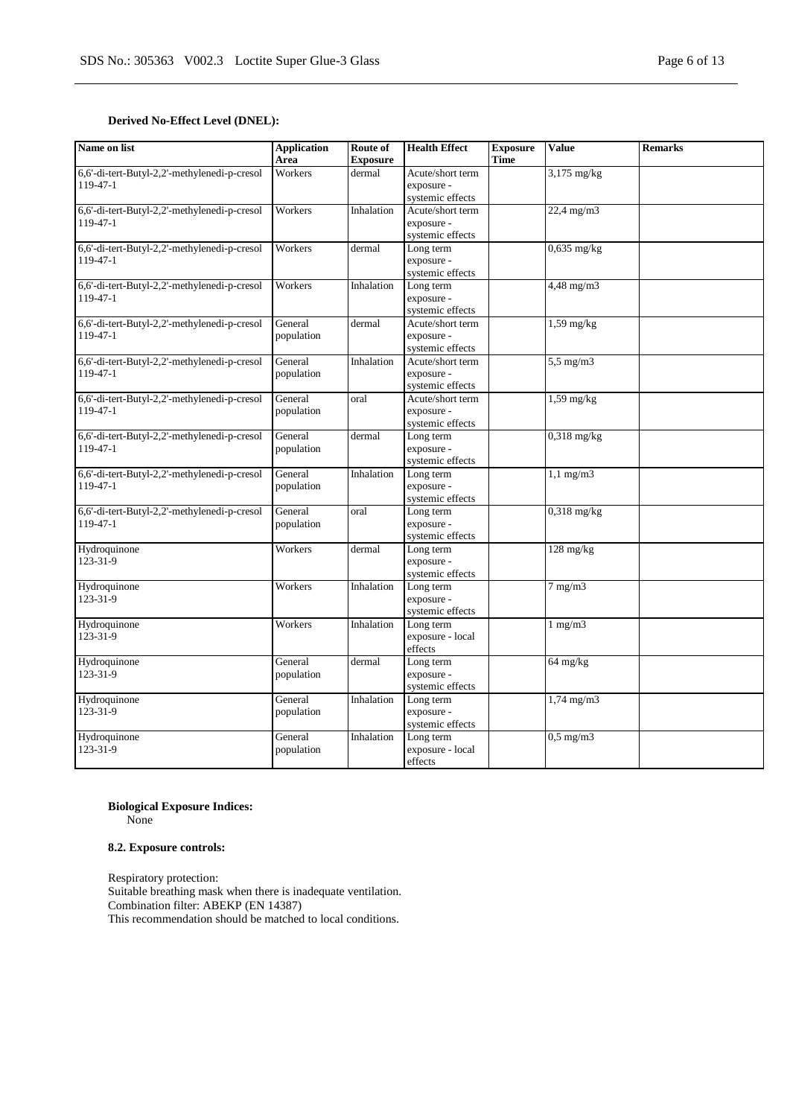## **Derived No-Effect Level (DNEL):**

| Name on list                                                   | <b>Application</b><br>Area | Route of<br><b>Exposure</b> | <b>Health Effect</b>                               | <b>Exposure</b><br><b>Time</b> | <b>Value</b>    | <b>Remarks</b> |
|----------------------------------------------------------------|----------------------------|-----------------------------|----------------------------------------------------|--------------------------------|-----------------|----------------|
| 6,6'-di-tert-Butyl-2,2'-methylenedi-p-cresol<br>$119 - 47 - 1$ | Workers                    | dermal                      | Acute/short term<br>exposure -<br>systemic effects |                                | 3,175 mg/kg     |                |
| 6,6'-di-tert-Butyl-2,2'-methylenedi-p-cresol<br>119-47-1       | Workers                    | Inhalation                  | Acute/short term<br>exposure -<br>systemic effects |                                | $22,4$ mg/m $3$ |                |
| 6,6'-di-tert-Butyl-2,2'-methylenedi-p-cresol<br>119-47-1       | Workers                    | dermal                      | Long term<br>exposure -<br>systemic effects        |                                | $0,635$ mg/kg   |                |
| 6,6'-di-tert-Butyl-2,2'-methylenedi-p-cresol<br>119-47-1       | Workers                    | Inhalation                  | Long term<br>exposure -<br>systemic effects        |                                | $4,48$ mg/m $3$ |                |
| 6,6'-di-tert-Butyl-2,2'-methylenedi-p-cresol<br>119-47-1       | General<br>population      | dermal                      | Acute/short term<br>exposure -<br>systemic effects |                                | $1,59$ mg/kg    |                |
| 6,6'-di-tert-Butyl-2,2'-methylenedi-p-cresol<br>119-47-1       | General<br>population      | Inhalation                  | Acute/short term<br>exposure -<br>systemic effects |                                | $5,5$ mg/m $3$  |                |
| 6,6'-di-tert-Butyl-2,2'-methylenedi-p-cresol<br>119-47-1       | General<br>population      | oral                        | Acute/short term<br>exposure -<br>systemic effects |                                | $1,59$ mg/kg    |                |
| 6,6'-di-tert-Butyl-2,2'-methylenedi-p-cresol<br>119-47-1       | General<br>population      | dermal                      | Long term<br>exposure -<br>systemic effects        |                                | $0,318$ mg/kg   |                |
| 6,6'-di-tert-Butyl-2,2'-methylenedi-p-cresol<br>119-47-1       | General<br>population      | Inhalation                  | Long term<br>exposure -<br>systemic effects        |                                | $1,1$ mg/m $3$  |                |
| 6,6'-di-tert-Butyl-2,2'-methylenedi-p-cresol<br>119-47-1       | General<br>population      | oral                        | Long term<br>exposure -<br>systemic effects        |                                | $0,318$ mg/kg   |                |
| Hydroquinone<br>123-31-9                                       | Workers                    | dermal                      | Long term<br>exposure -<br>systemic effects        |                                | $128$ mg/kg     |                |
| Hydroquinone<br>123-31-9                                       | Workers                    | Inhalation                  | Long term<br>exposure -<br>systemic effects        |                                | $7$ mg/m $3$    |                |
| Hydroquinone<br>123-31-9                                       | Workers                    | Inhalation                  | Long term<br>exposure - local<br>effects           |                                | $1$ mg/m $3$    |                |
| Hydroquinone<br>123-31-9                                       | General<br>population      | dermal                      | Long term<br>exposure -<br>systemic effects        |                                | 64 mg/kg        |                |
| Hydroquinone<br>123-31-9                                       | General<br>population      | Inhalation                  | Long term<br>exposure -<br>systemic effects        |                                | $1,74$ mg/m $3$ |                |
| Hydroquinone<br>123-31-9                                       | General<br>population      | Inhalation                  | Long term<br>exposure - local<br>effects           |                                | $0,5$ mg/m $3$  |                |

## **Biological Exposure Indices:**

None

## **8.2. Exposure controls:**

Respiratory protection: Suitable breathing mask when there is inadequate ventilation. Combination filter: ABEKP (EN 14387) This recommendation should be matched to local conditions.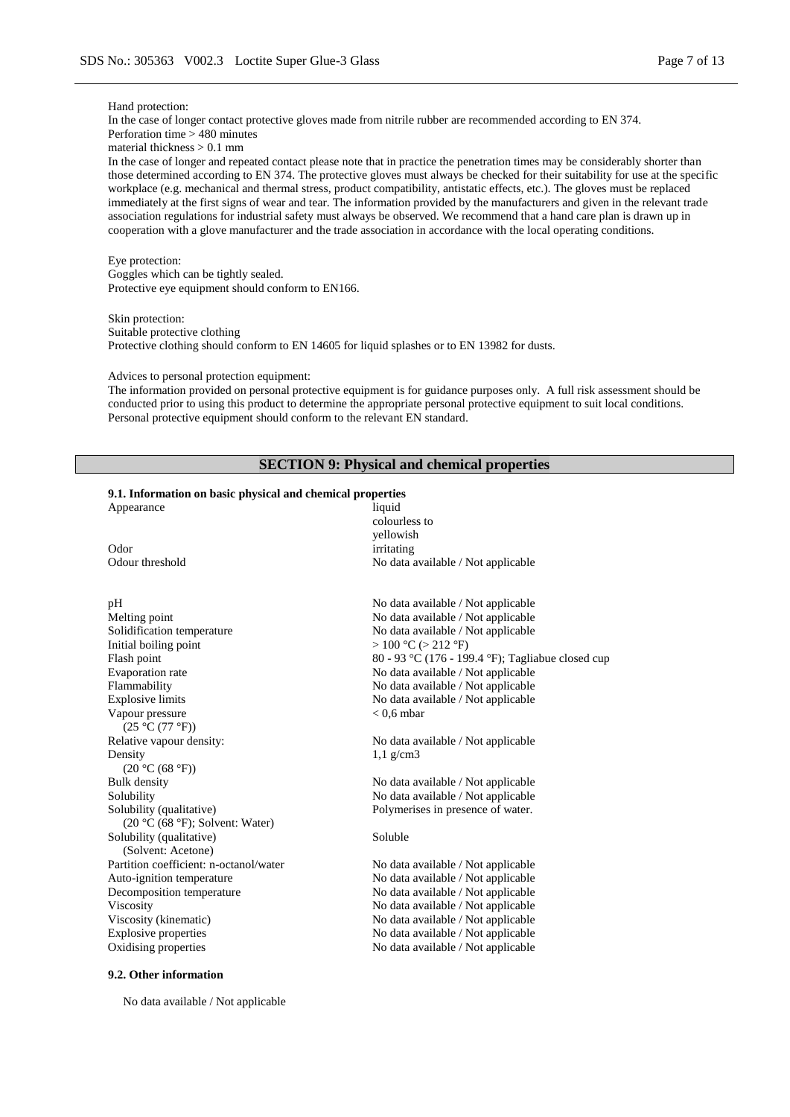#### Hand protection:

#### In the case of longer contact protective gloves made from nitrile rubber are recommended according to EN 374. Perforation time > 480 minutes

material thickness > 0.1 mm

In the case of longer and repeated contact please note that in practice the penetration times may be considerably shorter than those determined according to EN 374. The protective gloves must always be checked for their suitability for use at the specific workplace (e.g. mechanical and thermal stress, product compatibility, antistatic effects, etc.). The gloves must be replaced immediately at the first signs of wear and tear. The information provided by the manufacturers and given in the relevant trade association regulations for industrial safety must always be observed. We recommend that a hand care plan is drawn up in cooperation with a glove manufacturer and the trade association in accordance with the local operating conditions.

#### Eye protection:

Goggles which can be tightly sealed. Protective eye equipment should conform to EN166.

Skin protection: Suitable protective clothing Protective clothing should conform to EN 14605 for liquid splashes or to EN 13982 for dusts.

#### Advices to personal protection equipment:

The information provided on personal protective equipment is for guidance purposes only. A full risk assessment should be conducted prior to using this product to determine the appropriate personal protective equipment to suit local conditions. Personal protective equipment should conform to the relevant EN standard.

## **SECTION 9: Physical and chemical properties**

#### **9.1. Information on basic physical and chemical properties**

Odor irritating<br>
Odour threshold No data a

## pH No data available / Not applicable Melting point<br>
Mo data available / Not applicable<br>
No data available / Not applicable<br>
No data available / Not applicable Solidification temperature<br>Initial boiling point<br> $> 100 °C (> 212 °F)$ Initial boiling point  $> 100 °C (> 212 °F)$ <br>Flash point  $80 - 93 °C (176 - 19)$ Evaporation rate No data available / Not applicable Flammability No data available / Not applicable Explosive limits No data available / Not applicable Vapour pressure  $(25 °C (77 °F))$ Relative vapour density: No data available / Not applicable Density  $(20 °C (68 °F))$ <br>Bulk density Solubility No data available / Not applicable Solubility (qualitative) (20 °C (68 °F); Solvent: Water) Solubility (qualitative) (Solvent: Acetone) Partition coefficient: n-octanol/water No data available / Not applicable Auto-ignition temperature No data available / Not applicable Decomposition temperature No data available / Not applicable Viscosity<br>
Viscosity (kinematic)<br>
Viscosity (kinematic)<br>
Viscosity (kinematic)<br>
Viscosity (kinematic)<br>
Viscosity (kinematic)<br>
Viscosity (kinematic)<br>
Viscosity (kinematic)<br>
Viscosity (kinematic) Explosive properties No data available / Not applicable

#### **9.2. Other information**

No data available / Not applicable

Appearance liquid colourless to yellowish No data available / Not applicable

> 80 - 93 °C (176 - 199.4 °F); Tagliabue closed cup  $< 0.6$  mbar

1,1 g/cm3

No data available / Not applicable Polymerises in presence of water.

### Soluble

No data available / Not applicable Oxidising properties No data available / Not applicable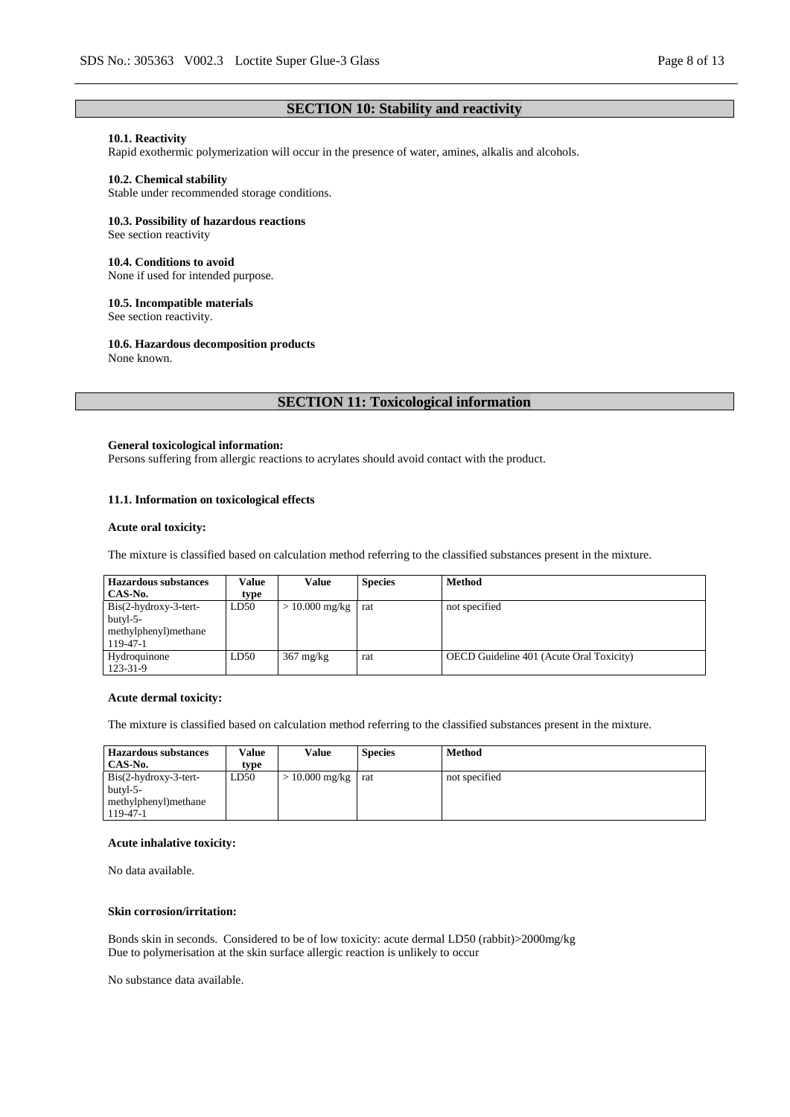## **SECTION 10: Stability and reactivity**

## **10.1. Reactivity**

Rapid exothermic polymerization will occur in the presence of water, amines, alkalis and alcohols.

### **10.2. Chemical stability**

Stable under recommended storage conditions.

### **10.3. Possibility of hazardous reactions**

See section reactivity

#### **10.4. Conditions to avoid**

None if used for intended purpose.

## **10.5. Incompatible materials**

See section reactivity.

### **10.6. Hazardous decomposition products**

None known.

## **SECTION 11: Toxicological information**

### **General toxicological information:**

Persons suffering from allergic reactions to acrylates should avoid contact with the product.

## **11.1. Information on toxicological effects**

#### **Acute oral toxicity:**

The mixture is classified based on calculation method referring to the classified substances present in the mixture.

| <b>Hazardous substances</b> | Value | Value                        | <b>Species</b> | <b>Method</b>                                   |
|-----------------------------|-------|------------------------------|----------------|-------------------------------------------------|
| CAS-No.                     | type  |                              |                |                                                 |
| $Bis(2-hydroxy-3-tert-$     | LD50  | $> 10.000$ mg/kg $\vert$ rat |                | not specified                                   |
| butyl-5-                    |       |                              |                |                                                 |
| methylphenyl)methane        |       |                              |                |                                                 |
| 119-47-1                    |       |                              |                |                                                 |
| Hydroquinone                | LD50  | $367 \text{ mg/kg}$          | rat            | <b>OECD</b> Guideline 401 (Acute Oral Toxicity) |
| 123-31-9                    |       |                              |                |                                                 |

#### **Acute dermal toxicity:**

The mixture is classified based on calculation method referring to the classified substances present in the mixture.

| <b>Hazardous substances</b> | Value | Value                  | <b>Species</b> | <b>Method</b> |
|-----------------------------|-------|------------------------|----------------|---------------|
| CAS-No.                     | type  |                        |                |               |
| $Bis(2-hydroxy-3-tert-$     | LD50  | $> 10.000$ mg/kg   rat |                | not specified |
| butyl-5-                    |       |                        |                |               |
| methylphenyl)methane        |       |                        |                |               |
| 119-47-1                    |       |                        |                |               |

#### **Acute inhalative toxicity:**

No data available.

### **Skin corrosion/irritation:**

Bonds skin in seconds. Considered to be of low toxicity: acute dermal LD50 (rabbit)>2000mg/kg Due to polymerisation at the skin surface allergic reaction is unlikely to occur

No substance data available.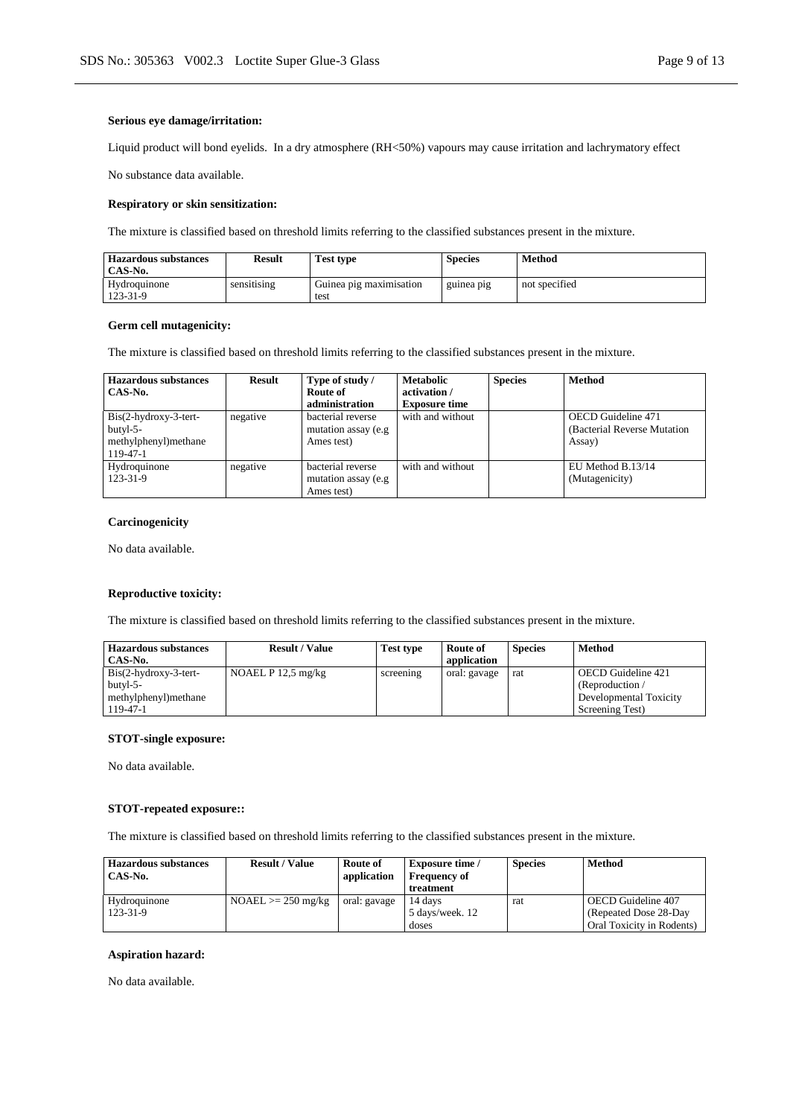### **Serious eye damage/irritation:**

Liquid product will bond eyelids. In a dry atmosphere (RH<50%) vapours may cause irritation and lachrymatory effect

No substance data available.

### **Respiratory or skin sensitization:**

The mixture is classified based on threshold limits referring to the classified substances present in the mixture.

| <b>Hazardous substances</b><br>CAS-No. | <b>Result</b> | <b>Test type</b>                | <b>Species</b> | Method        |
|----------------------------------------|---------------|---------------------------------|----------------|---------------|
| Hydroquinone<br>123-31-9               | sensitising   | Guinea pig maximisation<br>test | guinea pig     | not specified |

## **Germ cell mutagenicity:**

The mixture is classified based on threshold limits referring to the classified substances present in the mixture.

| <b>Hazardous substances</b><br>CAS-No.                                     | <b>Result</b> | Type of study /<br>Route of<br>administration           | <b>Metabolic</b><br>activation /<br><b>Exposure time</b> | <b>Species</b> | <b>Method</b>                                                       |
|----------------------------------------------------------------------------|---------------|---------------------------------------------------------|----------------------------------------------------------|----------------|---------------------------------------------------------------------|
| $Bis(2-hydroxy-3-tert-$<br>$butyl-5-$<br>methylphenyl) methane<br>119-47-1 | negative      | bacterial reverse<br>mutation assay (e.g.<br>Ames test) | with and without                                         |                | <b>OECD</b> Guideline 471<br>(Bacterial Reverse Mutation)<br>Assay) |
| Hydroquinone<br>123-31-9                                                   | negative      | bacterial reverse<br>mutation assay (e.g.<br>Ames test) | with and without                                         |                | EU Method B.13/14<br>(Mutagenicity)                                 |

## **Carcinogenicity**

No data available.

### **Reproductive toxicity:**

The mixture is classified based on threshold limits referring to the classified substances present in the mixture.

| <b>Hazardous substances</b> | <b>Result / Value</b> | Test type | Route of     | <b>Species</b> | Method                       |
|-----------------------------|-----------------------|-----------|--------------|----------------|------------------------------|
| CAS-No.                     |                       |           | application  |                |                              |
| $Bis(2-hydroxy-3-tert-$     | NOAEL $P$ 12.5 mg/kg  | screening | oral: gavage | rat            | OECD Guideline 421           |
| $butvl-5-$                  |                       |           |              |                | (Reproduction $\overline{ }$ |
| methylphenyl)methane        |                       |           |              |                | Developmental Toxicity       |
| $119 - 47 - 1$              |                       |           |              |                | Screening Test)              |

## **STOT-single exposure:**

No data available.

## **STOT-repeated exposure::**

The mixture is classified based on threshold limits referring to the classified substances present in the mixture.

| <b>Hazardous substances</b><br>CAS-No. | <b>Result / Value</b> | Route of<br>application | <b>Exposure time</b> /<br><b>Frequency of</b><br>treatment | <b>Species</b> | Method                                       |
|----------------------------------------|-----------------------|-------------------------|------------------------------------------------------------|----------------|----------------------------------------------|
| Hydroquinone<br>123-31-9               | $NOAEL \ge 250$ mg/kg | oral: gavage            | 14 davs<br>5 days/week. 12                                 | rat            | OECD Guideline 407<br>(Repeated Dose 28-Day) |
|                                        |                       |                         | doses                                                      |                | Oral Toxicity in Rodents)                    |

## **Aspiration hazard:**

No data available.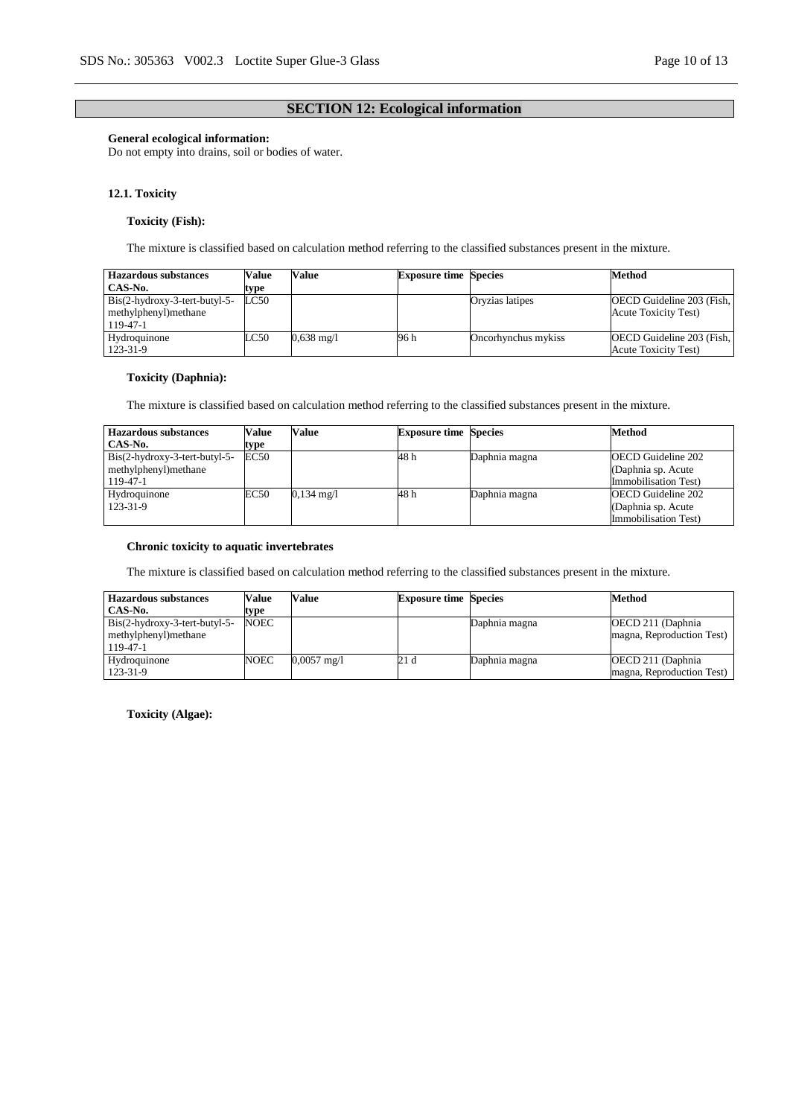## **SECTION 12: Ecological information**

### **General ecological information:**

Do not empty into drains, soil or bodies of water.

### **12.1. Toxicity**

## **Toxicity (Fish):**

The mixture is classified based on calculation method referring to the classified substances present in the mixture.

| <b>Hazardous substances</b>     | Value | Value        | <b>Exposure time Species</b> |                     | <b>Method</b>                |
|---------------------------------|-------|--------------|------------------------------|---------------------|------------------------------|
| CAS-No.                         | type  |              |                              |                     |                              |
| $Bis(2-hydroxy-3-tert-butyl-5-$ | LC50  |              |                              | Oryzias latipes     | OECD Guideline 203 (Fish,    |
| methylphenyl) methane           |       |              |                              |                     | <b>Acute Toxicity Test</b> ) |
| 119-47-1                        |       |              |                              |                     |                              |
| Hydroquinone                    | LC50  | $0.638$ mg/l | 96 h                         | Oncorhynchus mykiss | OECD Guideline 203 (Fish,    |
| 123-31-9                        |       |              |                              |                     | <b>Acute Toxicity Test)</b>  |

## **Toxicity (Daphnia):**

The mixture is classified based on calculation method referring to the classified substances present in the mixture.

| <b>Hazardous substances</b>     | Value | Value      | <b>Exposure time Species</b> |               | <b>Method</b>             |
|---------------------------------|-------|------------|------------------------------|---------------|---------------------------|
| CAS-No.                         | type  |            |                              |               |                           |
| $Bis(2-hydroxy-3-tert-butyl-5-$ | EC50  |            | 48 h                         | Daphnia magna | <b>OECD</b> Guideline 202 |
| methylphenyl)methane            |       |            |                              |               | (Daphnia sp. Acute)       |
| 119-47-1                        |       |            |                              |               | Immobilisation Test)      |
| Hydroquinone                    | EC50  | 0,134 mg/l | 48 h                         | Daphnia magna | <b>OECD</b> Guideline 202 |
| 123-31-9                        |       |            |                              |               | (Daphnia sp. Acute)       |
|                                 |       |            |                              |               | Immobilisation Test)      |

### **Chronic toxicity to aquatic invertebrates**

The mixture is classified based on calculation method referring to the classified substances present in the mixture.

| <b>Hazardous substances</b>     | Value       | Value                 | <b>Exposure time Species</b> |               | <b>Method</b>             |
|---------------------------------|-------------|-----------------------|------------------------------|---------------|---------------------------|
| CAS-No.                         | type        |                       |                              |               |                           |
| $Bis(2-hydroxy-3-tert-butyl-5-$ | <b>NOEC</b> |                       |                              | Daphnia magna | OECD 211 (Daphnia)        |
| methylphenyl) methane           |             |                       |                              |               | magna, Reproduction Test) |
| $119 - 47 - 1$                  |             |                       |                              |               |                           |
| Hydroquinone                    | NOEC        | $0,0057 \text{ mg/l}$ | 21 d                         | Daphnia magna | OECD 211 (Daphnia)        |
| 123-31-9                        |             |                       |                              |               | magna, Reproduction Test) |

**Toxicity (Algae):**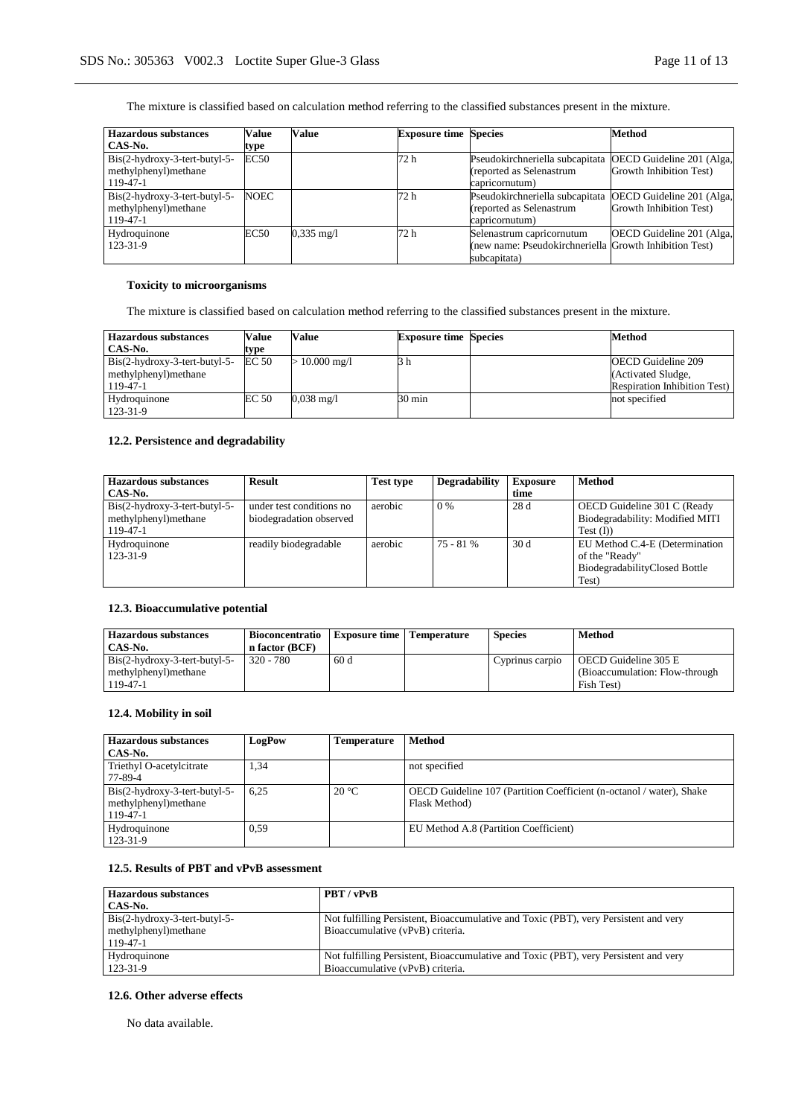The mixture is classified based on calculation method referring to the classified substances present in the mixture.

| <b>Hazardous substances</b>                             | <b>Value</b> | Value                | <b>Exposure time Species</b> |                                                             | Method                                               |
|---------------------------------------------------------|--------------|----------------------|------------------------------|-------------------------------------------------------------|------------------------------------------------------|
| CAS-No.                                                 | type         |                      |                              |                                                             |                                                      |
| $Bis(2-hydroxy-3-tert-butyl-5-$<br>methylphenyl)methane | <b>EC50</b>  |                      | 72 h                         | Pseudokirchneriella subcapitata<br>(reported as Selenastrum | OECD Guideline 201 (Alga,<br>Growth Inhibition Test) |
| 119-47-1                                                |              |                      |                              | capricornutum)                                              |                                                      |
| $Bis(2-hydroxy-3-tert-butyl-5-$<br>methylphenyl)methane | <b>NOEC</b>  |                      | 72 h                         | Pseudokirchneriella subcapitata<br>(reported as Selenastrum | OECD Guideline 201 (Alga,<br>Growth Inhibition Test) |
| 119-47-1                                                |              |                      |                              | capricornutum)                                              |                                                      |
| Hydroquinone                                            | EC50         | $0.335 \text{ mg/l}$ | 72 h                         | Selenastrum capricornutum                                   | OECD Guideline 201 (Alga,                            |
| 123-31-9                                                |              |                      |                              | (new name: Pseudokirchneriella Growth Inhibition Test)      |                                                      |
|                                                         |              |                      |                              | subcapitata)                                                |                                                      |

## **Toxicity to microorganisms**

The mixture is classified based on calculation method referring to the classified substances present in the mixture.

| <b>Hazardous substances</b>   | Value | Value                | <b>Exposure time Species</b> | <b>Method</b>                        |
|-------------------------------|-------|----------------------|------------------------------|--------------------------------------|
| CAS-No.                       | type  |                      |                              |                                      |
| Bis(2-hydroxy-3-tert-butyl-5- | EC 50 | $\cdot$ 10.000 mg/l  | 3 h                          | <b>OECD</b> Guideline 209            |
| methylphenyl) methane         |       |                      |                              | (Activated Sludge,                   |
| 119-47-1                      |       |                      |                              | <b>Respiration Inhibition Test</b> ) |
| Hydroquinone                  | EC 50 | $0.038 \text{ mg}/1$ | 30 min                       | not specified                        |
| 123-31-9                      |       |                      |                              |                                      |

## **12.2. Persistence and degradability**

| <b>Hazardous</b> substances     | <b>Result</b>            | <b>Test type</b> | Degradability | <b>Exposure</b> | <b>Method</b>                   |
|---------------------------------|--------------------------|------------------|---------------|-----------------|---------------------------------|
| CAS-No.                         |                          |                  |               | time            |                                 |
| $Bis(2-hydroxy-3-tert-butyl-5-$ | under test conditions no | aerobic          | $0\%$         | 28 d            | OECD Guideline 301 C (Ready     |
| methylphenyl)methane            | biodegradation observed  |                  |               |                 | Biodegradability: Modified MITI |
| 119-47-1                        |                          |                  |               |                 | Test $(I)$                      |
| Hydroquinone                    | readily biodegradable    | aerobic          | $75 - 81%$    | 30d             | EU Method C.4-E (Determination  |
| 123-31-9                        |                          |                  |               |                 | of the "Ready"                  |
|                                 |                          |                  |               |                 | BiodegradabilityClosed Bottle   |
|                                 |                          |                  |               |                 | Test)                           |

## **12.3. Bioaccumulative potential**

| Hazardous substances<br>CAS-No.                                    | <b>Bioconcentratio</b><br>n factor (BCF) | Exposure time   Temperature | <b>Species</b>  | Method                                                                |
|--------------------------------------------------------------------|------------------------------------------|-----------------------------|-----------------|-----------------------------------------------------------------------|
| Bis(2-hydroxy-3-tert-butyl-5-<br>methylphenyl) methane<br>119-47-1 | $320 - 780$                              | 60 d                        | Cyprinus carpio | OECD Guideline 305 E<br>(Bioaccumulation: Flow-through)<br>Fish Test) |

## **12.4. Mobility in soil**

| <b>Hazardous substances</b>                             | LogPow | Temperature    | <b>Method</b>                                                                         |
|---------------------------------------------------------|--------|----------------|---------------------------------------------------------------------------------------|
| CAS-No.                                                 |        |                |                                                                                       |
| Triethyl O-acetylcitrate                                | 1,34   |                | not specified                                                                         |
| 77-89-4                                                 |        |                |                                                                                       |
| $Bis(2-hydroxy-3-tert-butyl-5-$<br>methylphenyl)methane | 6.25   | $20^{\circ}$ C | OECD Guideline 107 (Partition Coefficient (n-octanol / water), Shake<br>Flask Method) |
| 119-47-1                                                |        |                |                                                                                       |
| Hydroquinone                                            | 0.59   |                | EU Method A.8 (Partition Coefficient)                                                 |
| 123-31-9                                                |        |                |                                                                                       |

### **12.5. Results of PBT and vPvB assessment**

| <b>Hazardous substances</b>   | PBT/vPvB                                                                             |
|-------------------------------|--------------------------------------------------------------------------------------|
| CAS-No.                       |                                                                                      |
| Bis(2-hydroxy-3-tert-butyl-5- | Not fulfilling Persistent, Bioaccumulative and Toxic (PBT), very Persistent and very |
| methylphenyl) methane         | Bioaccumulative (vPvB) criteria.                                                     |
| 119-47-1                      |                                                                                      |
| Hydroquinone                  | Not fulfilling Persistent, Bioaccumulative and Toxic (PBT), very Persistent and very |
| 123-31-9                      | Bioaccumulative (vPvB) criteria.                                                     |

## **12.6. Other adverse effects**

No data available.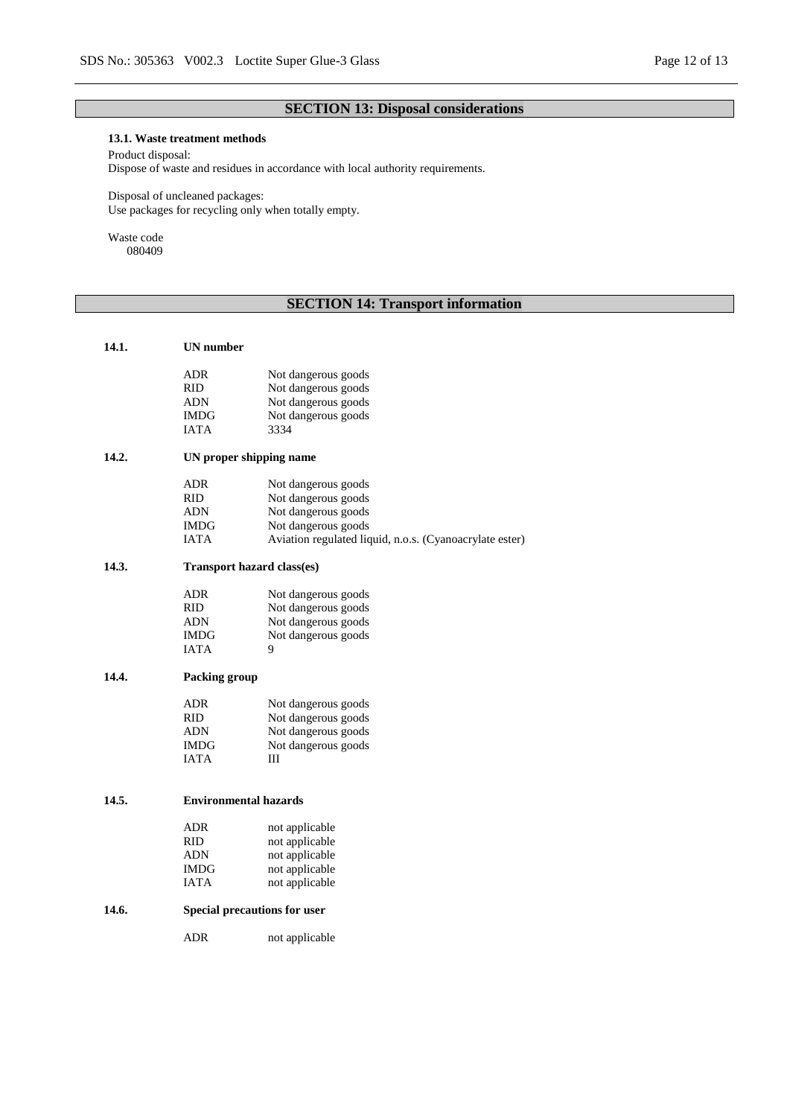# **SECTION 13: Disposal considerations**

## **13.1. Waste treatment methods**

Product disposal:

Dispose of waste and residues in accordance with local authority requirements.

Disposal of uncleaned packages: Use packages for recycling only when totally empty.

Waste code 080409

# **SECTION 14: Transport information**

| 14.1. | UN number                         |                                                         |
|-------|-----------------------------------|---------------------------------------------------------|
|       | ADR                               | Not dangerous goods                                     |
|       | <b>RID</b>                        | Not dangerous goods                                     |
|       | ADN                               | Not dangerous goods                                     |
|       | IMDG                              | Not dangerous goods                                     |
|       | <b>IATA</b>                       | 3334                                                    |
|       |                                   |                                                         |
| 14.2. | UN proper shipping name           |                                                         |
|       | ADR                               | Not dangerous goods                                     |
|       | <b>RID</b>                        | Not dangerous goods                                     |
|       | ADN                               | Not dangerous goods                                     |
|       | IMDG                              | Not dangerous goods                                     |
|       | <b>IATA</b>                       | Aviation regulated liquid, n.o.s. (Cyanoacrylate ester) |
| 14.3. | <b>Transport hazard class(es)</b> |                                                         |
|       | <b>ADR</b>                        | Not dangerous goods                                     |
|       | <b>RID</b>                        |                                                         |
|       | ADN                               | Not dangerous goods<br>Not dangerous goods              |
|       | <b>IMDG</b>                       | Not dangerous goods                                     |
|       | <b>IATA</b>                       | 9                                                       |
|       |                                   |                                                         |
| 14.4. | Packing group                     |                                                         |
|       | ADR                               | Not dangerous goods                                     |
|       | <b>RID</b>                        | Not dangerous goods                                     |
|       | <b>ADN</b>                        | Not dangerous goods                                     |
|       | IMDG                              | Not dangerous goods                                     |
|       | <b>IATA</b>                       | Ш                                                       |
|       |                                   |                                                         |
| 14.5. | <b>Environmental hazards</b>      |                                                         |
|       | <b>ADR</b>                        | not applicable                                          |
|       | RID.                              | not applicable                                          |
|       | ADN                               | not applicable                                          |
|       | <b>IMDG</b>                       | not applicable                                          |
|       | <b>IATA</b>                       | not applicable                                          |
| 14.6. | Special precautions for user      |                                                         |
|       | <b>ADR</b>                        | not applicable                                          |
|       |                                   |                                                         |